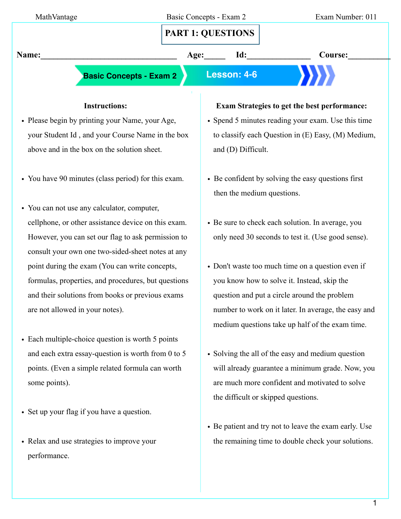| MathVantage                                         |      | Basic Concepts - Exam 2<br><b>PART 1: QUESTIONS</b> | Exam Number: 011                                      |  |
|-----------------------------------------------------|------|-----------------------------------------------------|-------------------------------------------------------|--|
| Name:                                               | Age: | Id:                                                 | Course:                                               |  |
| <b>Basic Concepts - Exam 2</b>                      |      | Lesson: 4-6                                         |                                                       |  |
| <b>Instructions:</b>                                |      |                                                     | <b>Exam Strategies to get the best performance:</b>   |  |
| • Please begin by printing your Name, your Age,     |      |                                                     | • Spend 5 minutes reading your exam. Use this time    |  |
| your Student Id, and your Course Name in the box    |      |                                                     | to classify each Question in (E) Easy, (M) Medium,    |  |
| above and in the box on the solution sheet.         |      | and (D) Difficult.                                  |                                                       |  |
| • You have 90 minutes (class period) for this exam. |      | then the medium questions.                          | • Be confident by solving the easy questions first    |  |
| • You can not use any calculator, computer,         |      |                                                     |                                                       |  |
| cellphone, or other assistance device on this exam. |      |                                                     | • Be sure to check each solution. In average, you     |  |
| However, you can set our flag to ask permission to  |      |                                                     | only need 30 seconds to test it. (Use good sense).    |  |
| consult your own one two-sided-sheet notes at any   |      |                                                     |                                                       |  |
| point during the exam (You can write concepts,      |      |                                                     | • Don't waste too much time on a question even if     |  |
| formulas, properties, and procedures, but questions |      |                                                     | you know how to solve it. Instead, skip the           |  |
| and their solutions from books or previous exams    |      |                                                     | question and put a circle around the problem          |  |
| are not allowed in your notes).                     |      |                                                     | number to work on it later. In average, the easy and  |  |
|                                                     |      |                                                     | medium questions take up half of the exam time.       |  |
| • Each multiple-choice question is worth 5 points   |      |                                                     |                                                       |  |
| and each extra essay-question is worth from 0 to 5  |      |                                                     | • Solving the all of the easy and medium question     |  |
| points. (Even a simple related formula can worth    |      |                                                     | will already guarantee a minimum grade. Now, you      |  |
| some points).                                       |      |                                                     | are much more confident and motivated to solve        |  |
|                                                     |      | the difficult or skipped questions.                 |                                                       |  |
| • Set up your flag if you have a question.          |      |                                                     |                                                       |  |
|                                                     |      |                                                     | • Be patient and try not to leave the exam early. Use |  |

• Relax and use strategies to improve your performance.

## e patient and try not to leave the exam early. Use the remaining time to double check your solutions.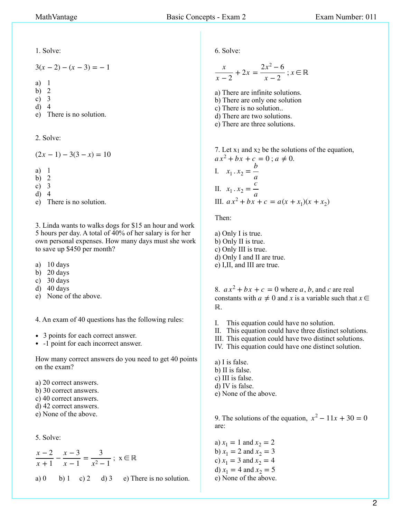1. Solve:

 $3(x-2)-(x-3)=-1$ 

a) 1

b) 2

c) 3

d) 4

e) There is no solution.

2. Solve:

 $(2x - 1) - 3(3 - x) = 10$ 

a) 1

b) 2

c) 3

d) 4

e) There is no solution.

3. Linda wants to walks dogs for \$15 an hour and work 5 hours per day. A total of 40% of her salary is for her own personal expenses. How many days must she work to save up \$450 per month?

- a) 10 days
- b) 20 days
- c) 30 days
- d) 40 days
- e) None of the above.

4. An exam of 40 questions has the following rules:

- 3 points for each correct answer.
- -1 point for each incorrect answer.

How many correct answers do you need to get 40 points on the exam?

- a) 20 correct answers.
- b) 30 correct answers.
- c) 40 correct answers.
- d) 42 correct answers.
- e) None of the above.

5. Solve:

$$
\frac{x-2}{x+1} - \frac{x-3}{x-1} = \frac{3}{x^2 - 1}
$$
;  $x \in \mathbb{R}$ 

a) 0 b) 1 c) 2 d) 3 e) There is no solution.

6. Solve:

$$
\frac{x}{x-2} + 2x = \frac{2x^2 - 6}{x - 2}
$$
;  $x \in \mathbb{R}$ 

a) There are infinite solutions.

- b) There are only one solution
- c) There is no solution..
- d) There are two solutions.
- e) There are three solutions.

7. Let  $x_1$  and  $x_2$  be the solutions of the equation,  $ax^2 + bx + c = 0$ ;  $a \neq 0$ . I.  $x_1 \cdot x_2 = \frac{b}{a}$ II.  $x_1 \cdot x_2 = \frac{c}{a}$ 

III.  $ax^2 + bx + c = a(x + x_1)(x + x_2)$ 

Then:

a) Only I is true. b) Only II is true. c) Only III is true. d) Only I and II are true. e) I,II, and III are true.

8.  $ax^2 + bx + c = 0$  where a, b, and c are real constants with  $a \neq 0$  and  $x$  is a variable such that  $x \in$ . ℝ

- I. This equation could have no solution.
- II. This equation could have three distinct solutions.
- III. This equation could have two distinct solutions.
- IV. This equation could have one distinct solution.

a) I is false.

- b) II is false.
- c) III is false.
- d) IV is false. e) None of the above.

9. The solutions of the equation,  $x^2 - 11x + 30 = 0$ are:

a)  $x_1 = 1$  and  $x_2 = 2$ b)  $x_1 = 2$  and  $x_2 = 3$ c)  $x_1 = 3$  and  $x_2 = 4$ d)  $x_1 = 4$  and  $x_2 = 5$ e) None of the above.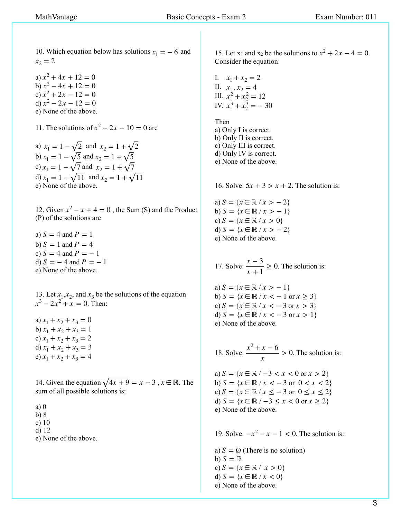10. Which equation below has solutions  $x_1 = -6$  and  $x_2 = 2$ 

a)  $x^2 + 4x + 12 = 0$ b)  $x^2 - 4x + 12 = 0$ c)  $x^2 + 2x - 12 = 0$ d)  $x^2 - 2x - 12 = 0$ e) None of the above.

11. The solutions of  $x^2 - 2x - 10 = 0$  are

a)  $x_1 = 1 - \sqrt{2}$  and  $x_2 = 1 + \sqrt{2}$ b)  $x_1 = 1 - \sqrt{5}$  and  $x_2 = 1 + \sqrt{5}$ c)  $x_1 = 1 - \sqrt{7}$  and  $x_2 = 1 + \sqrt{7}$ d)  $x_1 = 1 - \sqrt{11}$  and  $x_2 = 1 + \sqrt{11}$ e) None of the above.

12. Given  $x^2 - x + 4 = 0$ , the Sum (S) and the Product (P) of the solutions are

a)  $S = 4$  and  $P = 1$  $b) S = 1$  and  $P = 4$ c)  $S = 4$  and  $P = -1$ d)  $S = -4$  and  $P = -1$ e) None of the above.

13. Let  $x_1, x_2$ , and  $x_3$  be the solutions of the equation  $x^3 - 2x^2 + x = 0$ . Then:

a)  $x_1 + x_2 + x_3 = 0$ b)  $x_1 + x_2 + x_3 = 1$ c)  $x_1 + x_2 + x_3 = 2$ d)  $x_1 + x_2 + x_3 = 3$ e)  $x_1 + x_2 + x_3 = 4$ 

14. Given the equation  $\sqrt{4x + 9} = x - 3$ ,  $x \in \mathbb{R}$ . The sum of all possible solutions is:

a) 0

b) 8

c) 10

d) 12

e) None of the above.

15. Let x<sub>1</sub> and x<sub>2</sub> be the solutions to  $x^2 + 2x - 4 = 0$ . Consider the equation:

I. 
$$
x_1 + x_2 = 2
$$
  
\nII.  $x_1 \cdot x_2 = 4$   
\nIII.  $x_1^2 + x_2^2 = 12$   
\nIV.  $x_1^3 + x_2^3 = -30$ 

Then a) Only I is correct. b) Only II is correct. c) Only III is correct. d) Only IV is correct. e) None of the above.

16. Solve:  $5x + 3 > x + 2$ . The solution is:

 $(a) S = \{x \in \mathbb{R} / x > -2\}$  $b) S = \{x \in \mathbb{R} / x > -1\}$  $c) S = \{x \in \mathbb{R} / x > 0\}$ d)  $S = \{x \in \mathbb{R} / x > -2\}$ e) None of the above.

17. Solve:  $\frac{x-3}{2} \ge 0$ . The solution is:  $\frac{x}{x+1} \ge 0$ 

 $a) S = \{x \in \mathbb{R} / x > -1\}$ **b**) *S* = { $x \in \mathbb{R} / x$  < − 1 or  $x \ge 3$ }  $c) S = \{x \in \mathbb{R} / x < -3 \text{ or } x > 3\}$ d)  $S = \{x \in \mathbb{R} / x < -3 \text{ or } x > 1\}$ e) None of the above.

18. Solve:  $\frac{x^2 + x - 6}{x^2 + x - 6} > 0$ . The solution is: *x*  $> 0$ 

a)  $S = {x ∈ ℝ / −3 < x < 0 \text{ or } x > 2}$  $b) S = \{x \in \mathbb{R} / x < -3 \text{ or } 0 < x < 2\}$ *c*) *S* = { $x \in \mathbb{R} / x \le -3$  or 0 ≤  $x \le 2$ } d) *S* = { $x \in \mathbb{R}$  / −3 ≤  $x < 0$  or  $x \ge 2$ } e) None of the above.

19. Solve:  $-x^2 - x - 1 < 0$ . The solution is:

a)  $S = \emptyset$  (There is no solution) b)  $S = \mathbb{R}$  $c) S = \{x \in \mathbb{R} / x > 0\}$ d)  $S = \{x \in \mathbb{R} / x < 0\}$ e) None of the above.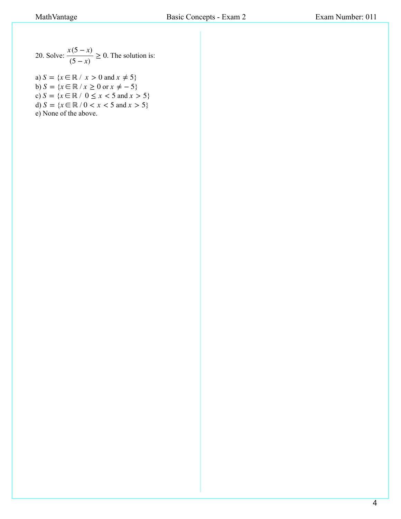20. Solve:  $\frac{x(5-x)}{7-x} \ge 0$ . The solution is:  $\frac{x^{(2)}(5-x)}{(5-x)}$  ≥ 0

a)  $S = \{x \in \mathbb{R} \mid x > 0 \text{ and } x \neq 5\}$ b)  $S = \{x \in \mathbb{R} \mid x \geq 0 \text{ or } x \neq -5\}$  $c) S = \{x \in \mathbb{R} \mid 0 \le x < 5 \text{ and } x > 5\}$ d)  $S = \{x \in \mathbb{R} \mid 0 < x < 5 \text{ and } x > 5\}$ e) None of the above.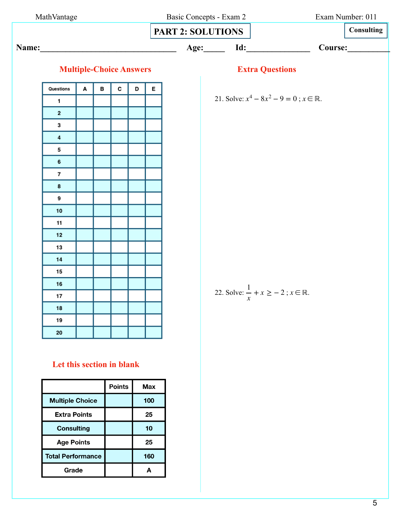|                          | MathVantage |   |   |   | Basic Concepts - Exam 2        | Exam Number: 011         |  |                                                            |         |            |
|--------------------------|-------------|---|---|---|--------------------------------|--------------------------|--|------------------------------------------------------------|---------|------------|
|                          |             |   |   |   |                                | <b>PART 2: SOLUTIONS</b> |  |                                                            |         | Consulting |
|                          |             |   |   |   |                                | Name:                    |  | Age: Id:                                                   | Course: |            |
|                          |             |   |   |   |                                |                          |  |                                                            |         |            |
|                          |             |   |   |   | <b>Multiple-Choice Answers</b> |                          |  | <b>Extra Questions</b>                                     |         |            |
| Questions                |             | A | в | с | D                              | E                        |  |                                                            |         |            |
| $\mathbf{1}$             |             |   |   |   |                                |                          |  | 21. Solve: $x^4 - 8x^2 - 9 = 0$ ; $x \in \mathbb{R}$ .     |         |            |
| $\mathbf{2}$             |             |   |   |   |                                |                          |  |                                                            |         |            |
| 3                        |             |   |   |   |                                |                          |  |                                                            |         |            |
| $\overline{\mathbf{4}}$  |             |   |   |   |                                |                          |  |                                                            |         |            |
| 5                        |             |   |   |   |                                |                          |  |                                                            |         |            |
| 6                        |             |   |   |   |                                |                          |  |                                                            |         |            |
| $\overline{\phantom{a}}$ |             |   |   |   |                                |                          |  |                                                            |         |            |
| 8                        |             |   |   |   |                                |                          |  |                                                            |         |            |
| 9                        |             |   |   |   |                                |                          |  |                                                            |         |            |
| $10$                     |             |   |   |   |                                |                          |  |                                                            |         |            |
| 11                       |             |   |   |   |                                |                          |  |                                                            |         |            |
| 12                       |             |   |   |   |                                |                          |  |                                                            |         |            |
| 13                       |             |   |   |   |                                |                          |  |                                                            |         |            |
| 14                       |             |   |   |   |                                |                          |  |                                                            |         |            |
| 15                       |             |   |   |   |                                |                          |  |                                                            |         |            |
| 16                       |             |   |   |   |                                |                          |  |                                                            |         |            |
| 17                       |             |   |   |   |                                |                          |  | 22. Solve: $\frac{1}{x} + x \ge -2$ ; $x \in \mathbb{R}$ . |         |            |
| 18                       |             |   |   |   |                                |                          |  |                                                            |         |            |
| 19                       |             |   |   |   |                                |                          |  |                                                            |         |            |
| 20                       |             |   |   |   |                                |                          |  |                                                            |         |            |